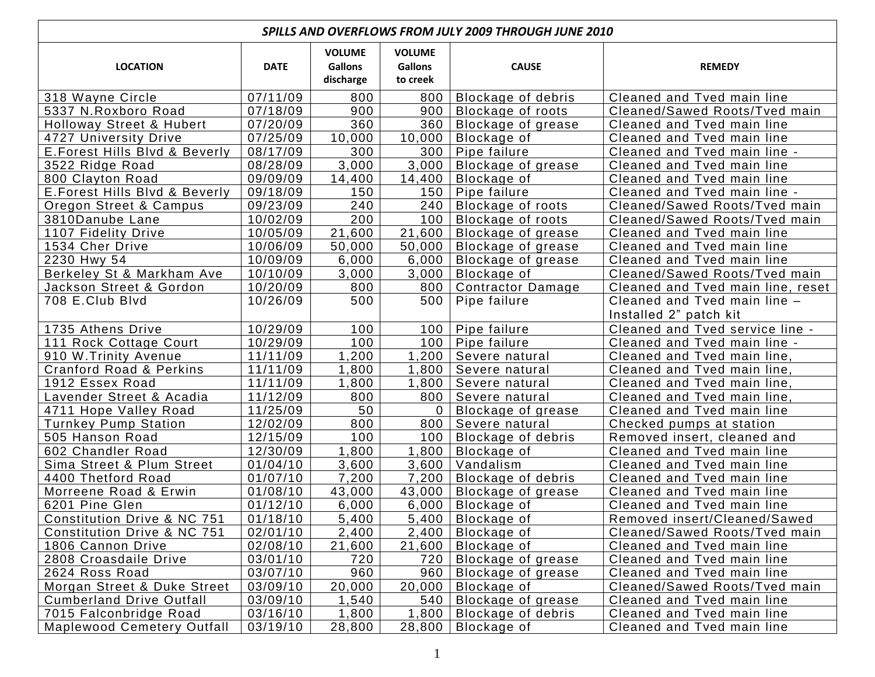| <b>SPILLS AND OVERFLOWS FROM JULY 2009 THROUGH JUNE 2010</b> |             |                                              |                                             |                           |                                   |  |  |  |
|--------------------------------------------------------------|-------------|----------------------------------------------|---------------------------------------------|---------------------------|-----------------------------------|--|--|--|
| <b>LOCATION</b>                                              | <b>DATE</b> | <b>VOLUME</b><br><b>Gallons</b><br>discharge | <b>VOLUME</b><br><b>Gallons</b><br>to creek | <b>CAUSE</b>              | <b>REMEDY</b>                     |  |  |  |
| 318 Wayne Circle                                             | 07/11/09    | 800                                          | 800                                         | <b>Blockage of debris</b> | Cleaned and Tved main line        |  |  |  |
| 5337 N.Roxboro Road                                          | 07/18/09    | 900                                          | 900                                         | Blockage of roots         | Cleaned/Sawed Roots/Tved main     |  |  |  |
| Holloway Street & Hubert                                     | 07/20/09    | 360                                          | 360                                         | Blockage of grease        | Cleaned and Tved main line        |  |  |  |
| 4727 University Drive                                        | 07/25/09    | 10,000                                       | 10,000                                      | Blockage of               | Cleaned and Tved main line        |  |  |  |
| E. Forest Hills Blvd & Beverly                               | 08/17/09    | 300                                          | 300                                         | Pipe failure              | Cleaned and Tved main line -      |  |  |  |
| 3522 Ridge Road                                              | 08/28/09    | 3,000                                        | 3,000                                       | Blockage of grease        | Cleaned and Tved main line        |  |  |  |
| 800 Clayton Road                                             | 09/09/09    | 14,400                                       | 14,400                                      | Blockage of               | Cleaned and Tved main line        |  |  |  |
| E. Forest Hills Blvd & Beverly                               | 09/18/09    | 150                                          | 150                                         | Pipe failure              | Cleaned and Tved main line -      |  |  |  |
| Oregon Street & Campus                                       | 09/23/09    | 240                                          | 240                                         | Blockage of roots         | Cleaned/Sawed Roots/Tved main     |  |  |  |
| 3810Danube Lane                                              | 10/02/09    | 200                                          | 100                                         | Blockage of roots         | Cleaned/Sawed Roots/Tved main     |  |  |  |
| 1107 Fidelity Drive                                          | 10/05/09    | 21,600                                       | 21,600                                      | Blockage of grease        | Cleaned and Tved main line        |  |  |  |
| 1534 Cher Drive                                              | 10/06/09    | 50,000                                       | 50,000                                      | Blockage of grease        | Cleaned and Tved main line        |  |  |  |
| 2230 Hwy 54                                                  | 10/09/09    | 6,000                                        | 6,000                                       | Blockage of grease        | Cleaned and Tved main line        |  |  |  |
| Berkeley St & Markham Ave                                    | 10/10/09    | 3,000                                        | 3,000                                       | Blockage of               | Cleaned/Sawed Roots/Tved main     |  |  |  |
| Jackson Street & Gordon                                      | 10/20/09    | 800                                          | 800                                         | <b>Contractor Damage</b>  | Cleaned and Tved main line, reset |  |  |  |
| 708 E.Club Blvd                                              | 10/26/09    | 500                                          | 500                                         | Pipe failure              | Cleaned and Tved main line -      |  |  |  |
|                                                              |             |                                              |                                             |                           | Installed 2" patch kit            |  |  |  |
| 1735 Athens Drive                                            | 10/29/09    | 100                                          | 100 <sub>1</sub>                            | Pipe failure              | Cleaned and Tved service line -   |  |  |  |
| 111 Rock Cottage Court                                       | 10/29/09    | 100                                          | 100                                         | Pipe failure              | Cleaned and Tved main line -      |  |  |  |
| 910 W. Trinity Avenue                                        | 11/11/09    | 1,200                                        | ,200                                        | Severe natural            | Cleaned and Tved main line,       |  |  |  |
| <b>Cranford Road &amp; Perkins</b>                           | 11/11/09    | 1,800                                        | 1,800                                       | Severe natural            | Cleaned and Tved main line,       |  |  |  |
| 1912 Essex Road                                              | 11/11/09    | 1,800                                        | 1,800                                       | Severe natural            | Cleaned and Tved main line,       |  |  |  |
| Lavender Street & Acadia                                     | 11/12/09    | 800                                          | 800                                         | Severe natural            | Cleaned and Tved main line,       |  |  |  |
| 4711 Hope Valley Road                                        | 11/25/09    | 50                                           | 0                                           | Blockage of grease        | Cleaned and Tved main line        |  |  |  |
| <b>Turnkey Pump Station</b>                                  | 12/02/09    | 800                                          | 800                                         | Severe natural            | Checked pumps at station          |  |  |  |
| 505 Hanson Road                                              | 12/15/09    | 100                                          | 100                                         | Blockage of debris        | Removed insert, cleaned and       |  |  |  |
| 602 Chandler Road                                            | 12/30/09    | 1,800                                        | 1,800                                       | Blockage of               | Cleaned and Tved main line        |  |  |  |
| Sima Street & Plum Street                                    | 01/04/10    | 3,600                                        | 3,600                                       | Vandalism                 | Cleaned and Tved main line        |  |  |  |
| 4400 Thetford Road                                           | 01/07/10    | 7,200                                        | 7,200                                       | Blockage of debris        | Cleaned and Tved main line        |  |  |  |
| Morreene Road & Erwin                                        | 01/08/10    | 43,000                                       | 43,000                                      | Blockage of grease        | Cleaned and Tved main line        |  |  |  |
| 6201 Pine Glen                                               | 01/12/10    | 6,000                                        | 6,000                                       | Blockage of               | Cleaned and Tved main line        |  |  |  |
| Constitution Drive & NC 751                                  | 01/18/10    | 5,400                                        |                                             | $5,400$   Blockage of     | Removed insert/Cleaned/Sawed      |  |  |  |
| Constitution Drive & NC 751                                  | 02/01/10    | 2,400                                        | 2,400                                       | Blockage of               | Cleaned/Sawed Roots/Tved main     |  |  |  |
| 1806 Cannon Drive                                            | 02/08/10    | 21,600                                       | 21,600                                      | Blockage of               | Cleaned and Tved main line        |  |  |  |
| 2808 Croasdaile Drive                                        | 03/01/10    | 720                                          | 720                                         | Blockage of grease        | Cleaned and Tved main line        |  |  |  |
| 2624 Ross Road                                               | 03/07/10    | 960                                          | 960                                         | Blockage of grease        | Cleaned and Tved main line        |  |  |  |
| Morgan Street & Duke Street                                  | 03/09/10    | 20,000                                       | 20,000                                      | Blockage of               | Cleaned/Sawed Roots/Tved main     |  |  |  |
| <b>Cumberland Drive Outfall</b>                              | 03/09/10    | 1,540                                        | 540                                         | Blockage of grease        | Cleaned and Tved main line        |  |  |  |
| 7015 Falconbridge Road                                       | 03/16/10    | 1,800                                        | 1,800                                       | Blockage of debris        | Cleaned and Tved main line        |  |  |  |
| <b>Maplewood Cemetery Outfall</b>                            | 03/19/10    | 28,800                                       | 28,800                                      | Blockage of               | Cleaned and Tved main line        |  |  |  |